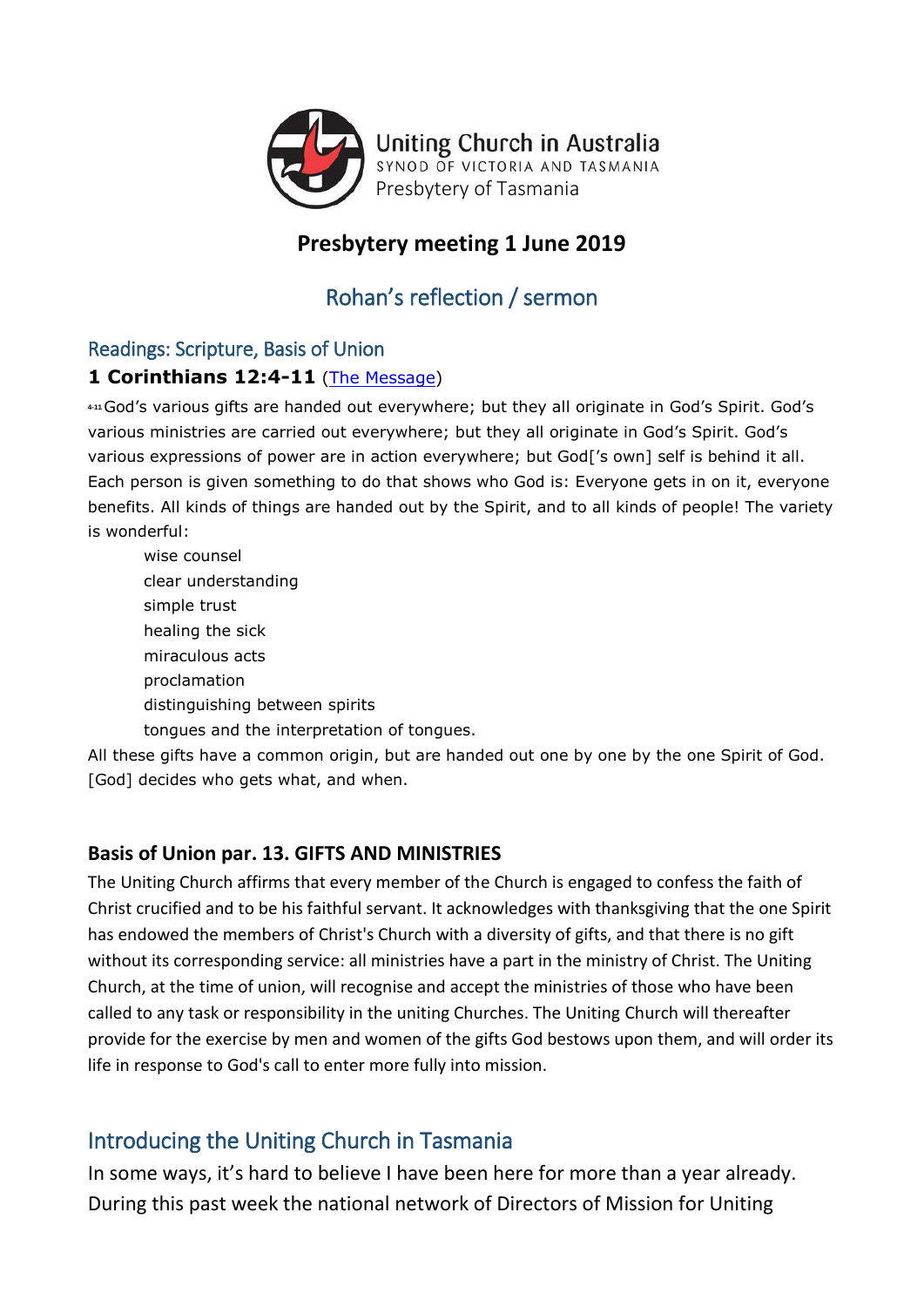

## **Presbytery meeting 1 June 2019**

# Rohan's reflection / sermon

#### Readings: Scripture, Basis of Union

#### **1 Corinthians 12:4-11** [\(The Message\)](https://www.biblegateway.com/passage/?search=1+Corinthians+12%3A4-11&version=MSG)

**4-11**God's various gifts are handed out everywhere; but they all originate in God's Spirit. God's various ministries are carried out everywhere; but they all originate in God's Spirit. God's various expressions of power are in action everywhere; but God['s own] self is behind it all. Each person is given something to do that shows who God is: Everyone gets in on it, everyone benefits. All kinds of things are handed out by the Spirit, and to all kinds of people! The variety is wonderful:

wise counsel clear understanding simple trust healing the sick miraculous acts proclamation distinguishing between spirits tongues and the interpretation of tongues.

All these gifts have a common origin, but are handed out one by one by the one Spirit of God. [God] decides who gets what, and when.

#### **Basis of Union par. 13. GIFTS AND MINISTRIES**

The Uniting Church affirms that every member of the Church is engaged to confess the faith of Christ crucified and to be his faithful servant. It acknowledges with thanksgiving that the one Spirit has endowed the members of Christ's Church with a diversity of gifts, and that there is no gift without its corresponding service: all ministries have a part in the ministry of Christ. The Uniting Church, at the time of union, will recognise and accept the ministries of those who have been called to any task or responsibility in the uniting Churches. The Uniting Church will thereafter provide for the exercise by men and women of the gifts God bestows upon them, and will order its life in response to God's call to enter more fully into mission.

## Introducing the Uniting Church in Tasmania

In some ways, it's hard to believe I have been here for more than a year already. During this past week the national network of Directors of Mission for Uniting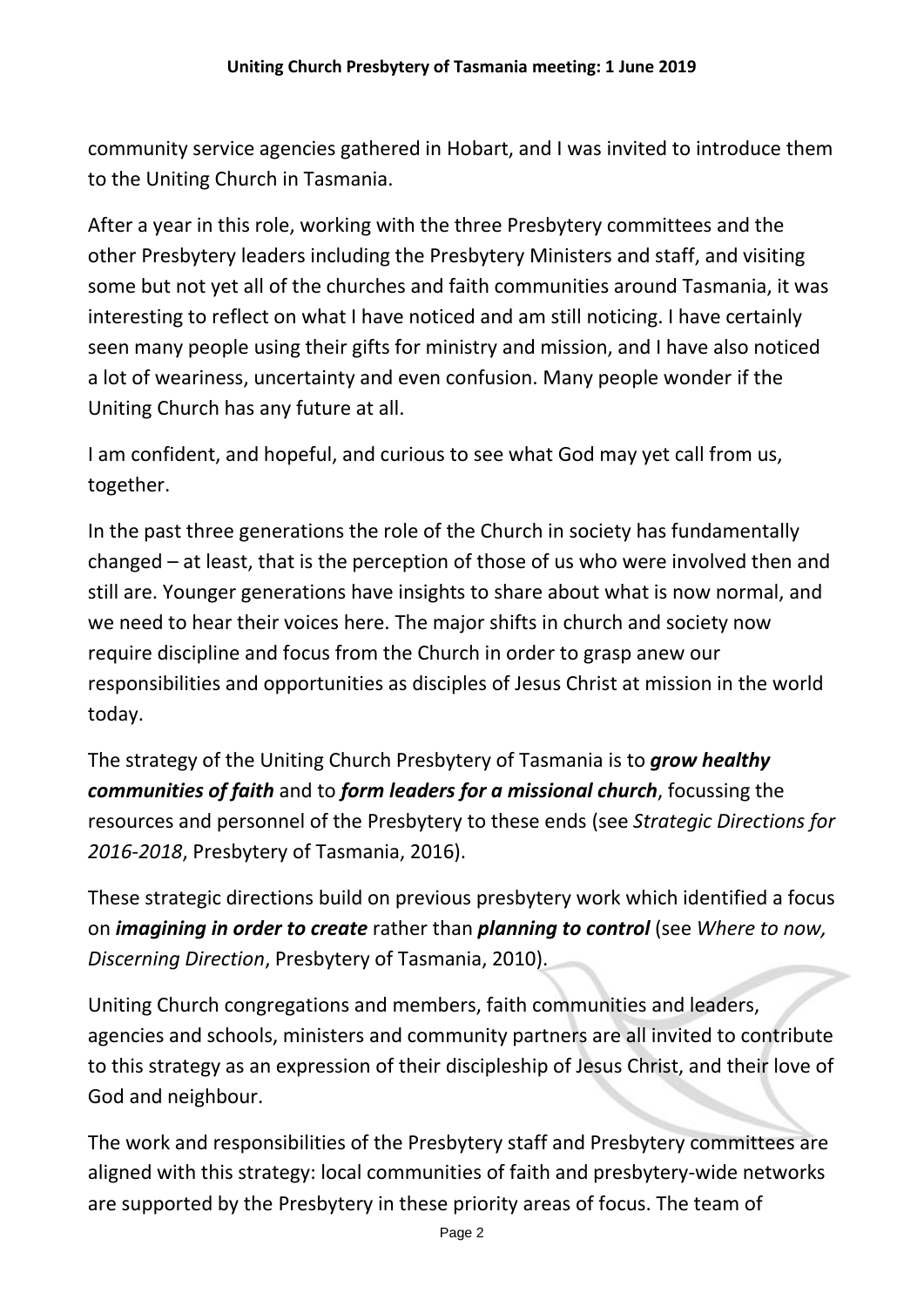community service agencies gathered in Hobart, and I was invited to introduce them to the Uniting Church in Tasmania.

After a year in this role, working with the three Presbytery committees and the other Presbytery leaders including the Presbytery Ministers and staff, and visiting some but not yet all of the churches and faith communities around Tasmania, it was interesting to reflect on what I have noticed and am still noticing. I have certainly seen many people using their gifts for ministry and mission, and I have also noticed a lot of weariness, uncertainty and even confusion. Many people wonder if the Uniting Church has any future at all.

I am confident, and hopeful, and curious to see what God may yet call from us, together.

In the past three generations the role of the Church in society has fundamentally changed – at least, that is the perception of those of us who were involved then and still are. Younger generations have insights to share about what is now normal, and we need to hear their voices here. The major shifts in church and society now require discipline and focus from the Church in order to grasp anew our responsibilities and opportunities as disciples of Jesus Christ at mission in the world today.

The strategy of the Uniting Church Presbytery of Tasmania is to *grow healthy communities of faith* and to *form leaders for a missional church*, focussing the resources and personnel of the Presbytery to these ends (see *Strategic Directions for 2016-2018*, Presbytery of Tasmania, 2016).

These strategic directions build on previous presbytery work which identified a focus on *imagining in order to create* rather than *planning to control* (see *Where to now, Discerning Direction*, Presbytery of Tasmania, 2010).

Uniting Church congregations and members, faith communities and leaders, agencies and schools, ministers and community partners are all invited to contribute to this strategy as an expression of their discipleship of Jesus Christ, and their love of God and neighbour.

The work and responsibilities of the Presbytery staff and Presbytery committees are aligned with this strategy: local communities of faith and presbytery-wide networks are supported by the Presbytery in these priority areas of focus. The team of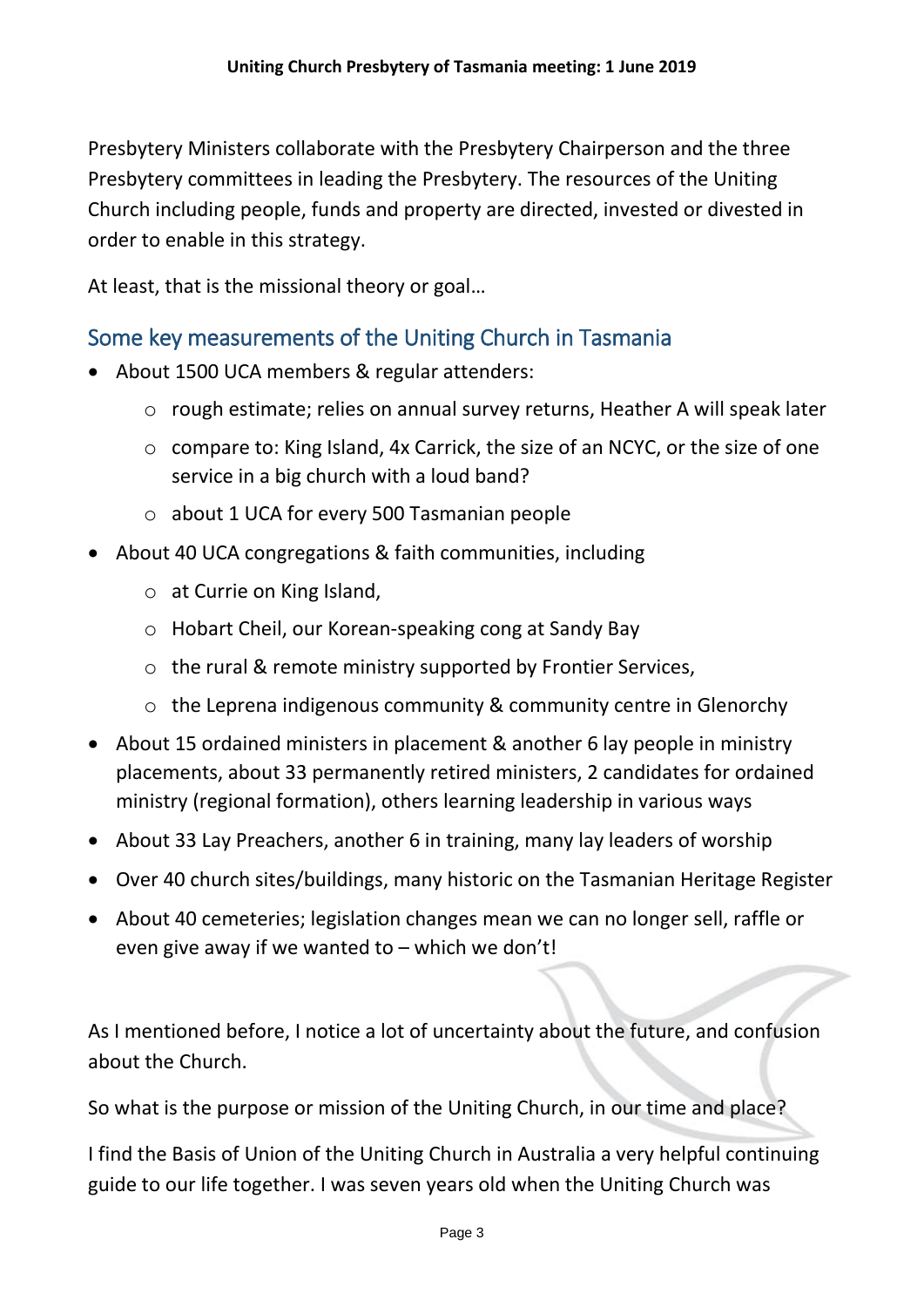Presbytery Ministers collaborate with the Presbytery Chairperson and the three Presbytery committees in leading the Presbytery. The resources of the Uniting Church including people, funds and property are directed, invested or divested in order to enable in this strategy.

At least, that is the missional theory or goal…

### Some key measurements of the Uniting Church in Tasmania

- About 1500 UCA members & regular attenders:
	- o rough estimate; relies on annual survey returns, Heather A will speak later
	- o compare to: King Island, 4x Carrick, the size of an NCYC, or the size of one service in a big church with a loud band?
	- o about 1 UCA for every 500 Tasmanian people
- About 40 UCA congregations & faith communities, including
	- o at Currie on King Island,
	- o Hobart Cheil, our Korean-speaking cong at Sandy Bay
	- o the rural & remote ministry supported by Frontier Services,
	- o the Leprena indigenous community & community centre in Glenorchy
- About 15 ordained ministers in placement & another 6 lay people in ministry placements, about 33 permanently retired ministers, 2 candidates for ordained ministry (regional formation), others learning leadership in various ways
- About 33 Lay Preachers, another 6 in training, many lay leaders of worship
- Over 40 church sites/buildings, many historic on the Tasmanian Heritage Register
- About 40 cemeteries; legislation changes mean we can no longer sell, raffle or even give away if we wanted to  $-$  which we don't!

As I mentioned before, I notice a lot of uncertainty about the future, and confusion about the Church.

So what is the purpose or mission of the Uniting Church, in our time and place?

I find the Basis of Union of the Uniting Church in Australia a very helpful continuing guide to our life together. I was seven years old when the Uniting Church was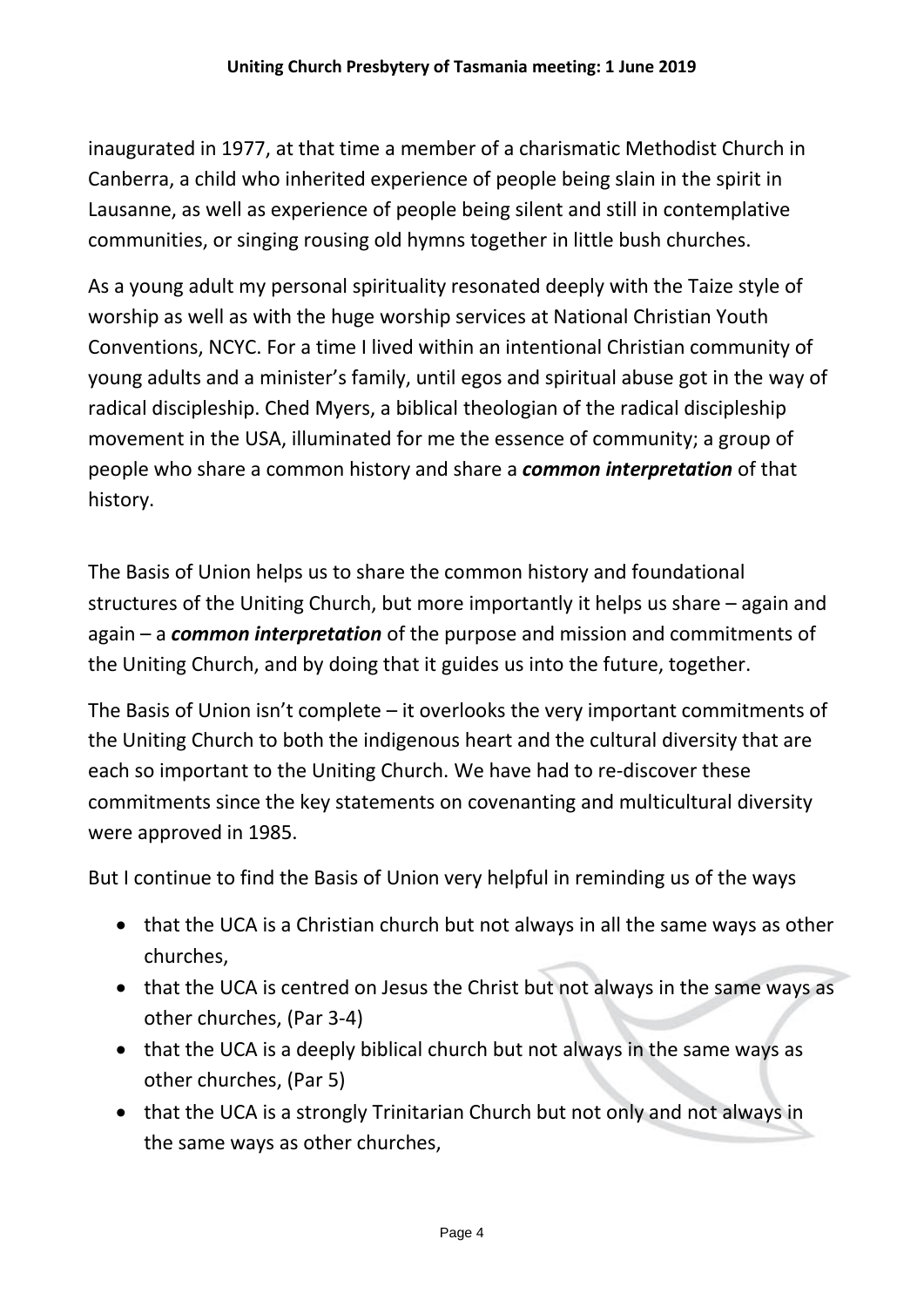inaugurated in 1977, at that time a member of a charismatic Methodist Church in Canberra, a child who inherited experience of people being slain in the spirit in Lausanne, as well as experience of people being silent and still in contemplative communities, or singing rousing old hymns together in little bush churches.

As a young adult my personal spirituality resonated deeply with the Taize style of worship as well as with the huge worship services at National Christian Youth Conventions, NCYC. For a time I lived within an intentional Christian community of young adults and a minister's family, until egos and spiritual abuse got in the way of radical discipleship. Ched Myers, a biblical theologian of the radical discipleship movement in the USA, illuminated for me the essence of community; a group of people who share a common history and share a *common interpretation* of that history.

The Basis of Union helps us to share the common history and foundational structures of the Uniting Church, but more importantly it helps us share – again and again – a *common interpretation* of the purpose and mission and commitments of the Uniting Church, and by doing that it guides us into the future, together.

The Basis of Union isn't complete – it overlooks the very important commitments of the Uniting Church to both the indigenous heart and the cultural diversity that are each so important to the Uniting Church. We have had to re-discover these commitments since the key statements on covenanting and multicultural diversity were approved in 1985.

But I continue to find the Basis of Union very helpful in reminding us of the ways

- that the UCA is a Christian church but not always in all the same ways as other churches,
- that the UCA is centred on Jesus the Christ but not always in the same ways as other churches, (Par 3-4)
- that the UCA is a deeply biblical church but not always in the same ways as other churches, (Par 5)
- that the UCA is a strongly Trinitarian Church but not only and not always in the same ways as other churches,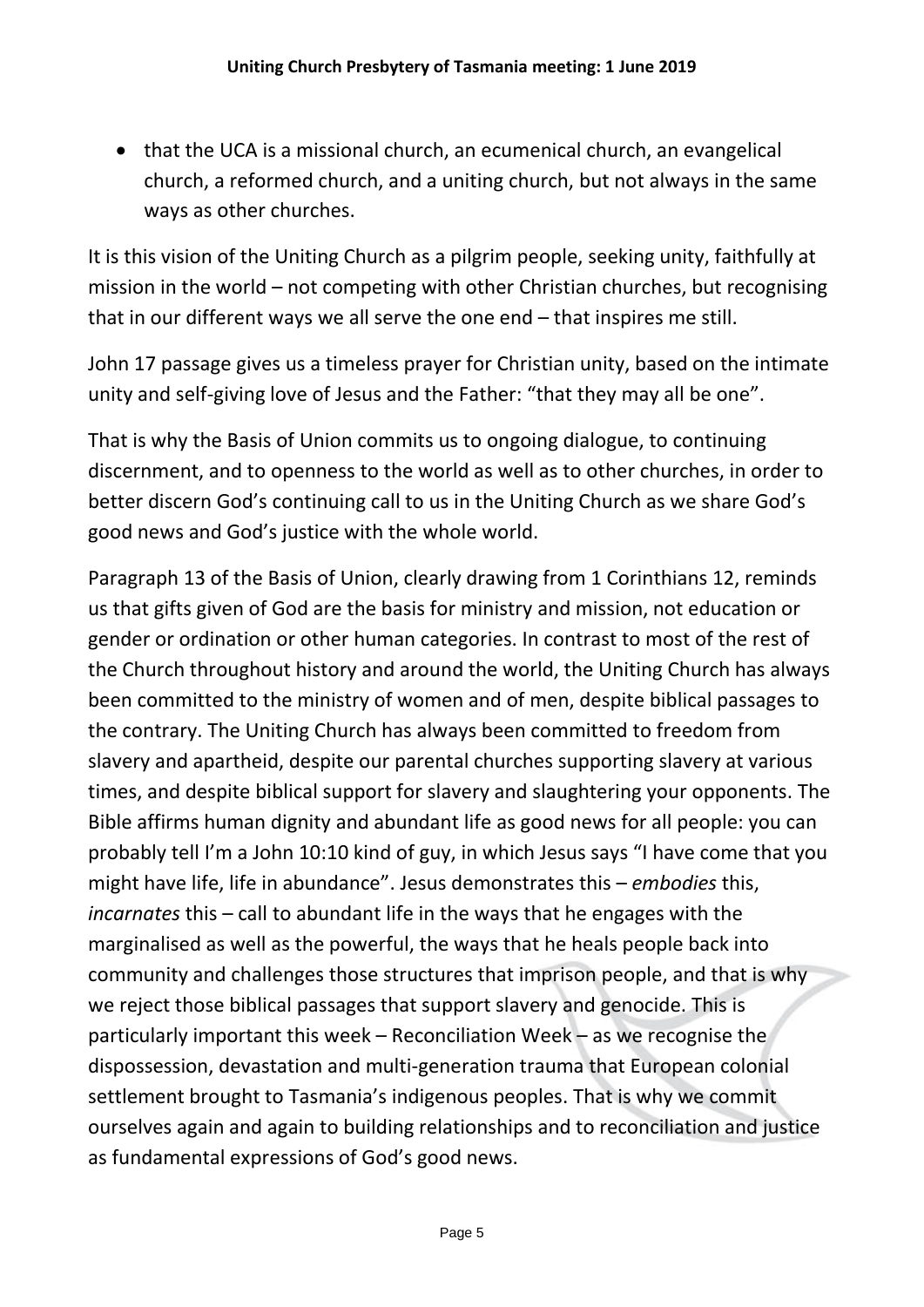that the UCA is a missional church, an ecumenical church, an evangelical church, a reformed church, and a uniting church, but not always in the same ways as other churches.

It is this vision of the Uniting Church as a pilgrim people, seeking unity, faithfully at mission in the world – not competing with other Christian churches, but recognising that in our different ways we all serve the one end – that inspires me still.

John 17 passage gives us a timeless prayer for Christian unity, based on the intimate unity and self-giving love of Jesus and the Father: "that they may all be one".

That is why the Basis of Union commits us to ongoing dialogue, to continuing discernment, and to openness to the world as well as to other churches, in order to better discern God's continuing call to us in the Uniting Church as we share God's good news and God's justice with the whole world.

Paragraph 13 of the Basis of Union, clearly drawing from 1 Corinthians 12, reminds us that gifts given of God are the basis for ministry and mission, not education or gender or ordination or other human categories. In contrast to most of the rest of the Church throughout history and around the world, the Uniting Church has always been committed to the ministry of women and of men, despite biblical passages to the contrary. The Uniting Church has always been committed to freedom from slavery and apartheid, despite our parental churches supporting slavery at various times, and despite biblical support for slavery and slaughtering your opponents. The Bible affirms human dignity and abundant life as good news for all people: you can probably tell I'm a John 10:10 kind of guy, in which Jesus says "I have come that you might have life, life in abundance". Jesus demonstrates this – *embodies* this, *incarnates* this – call to abundant life in the ways that he engages with the marginalised as well as the powerful, the ways that he heals people back into community and challenges those structures that imprison people, and that is why we reject those biblical passages that support slavery and genocide. This is particularly important this week – Reconciliation Week – as we recognise the dispossession, devastation and multi-generation trauma that European colonial settlement brought to Tasmania's indigenous peoples. That is why we commit ourselves again and again to building relationships and to reconciliation and justice as fundamental expressions of God's good news.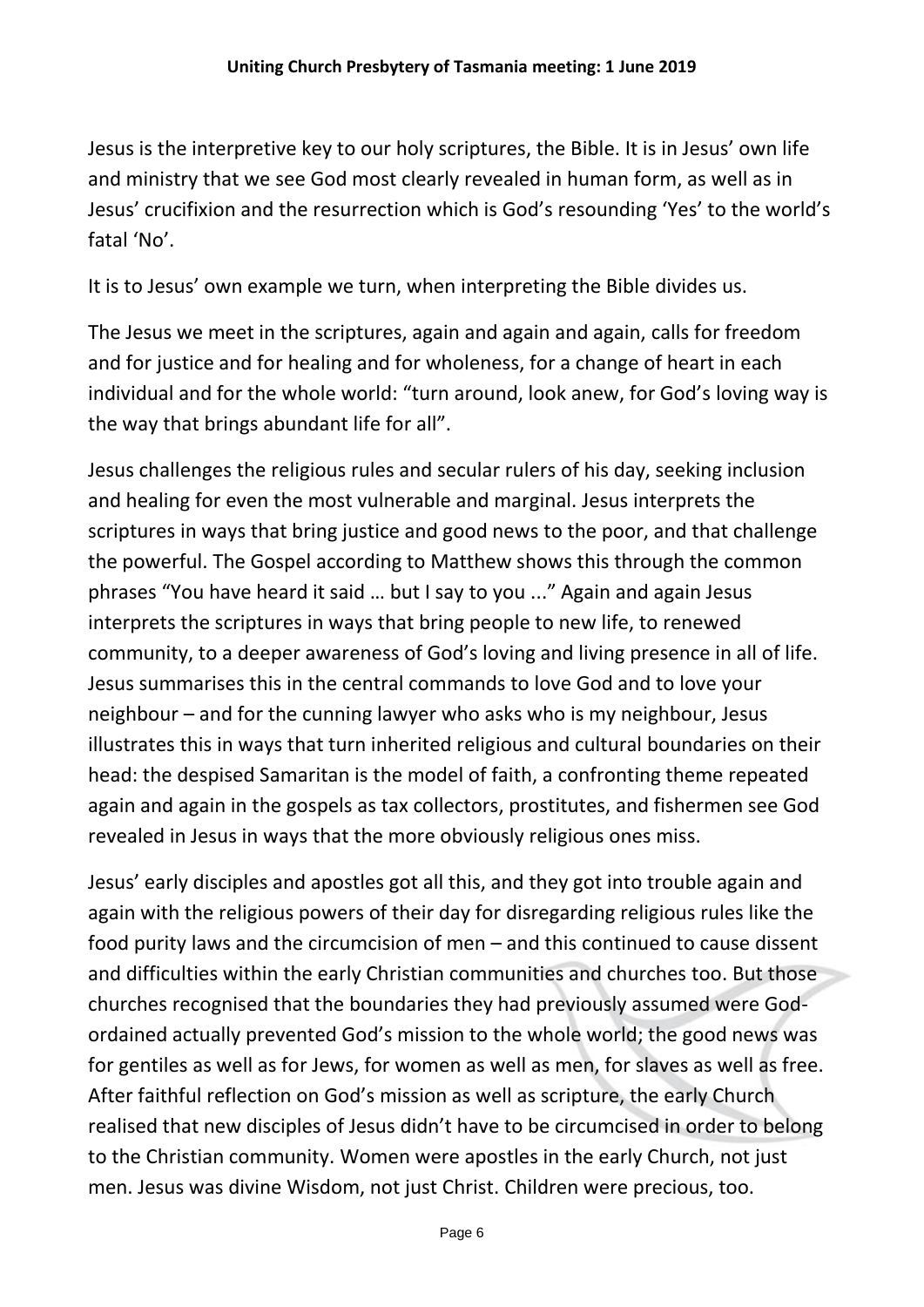Jesus is the interpretive key to our holy scriptures, the Bible. It is in Jesus' own life and ministry that we see God most clearly revealed in human form, as well as in Jesus' crucifixion and the resurrection which is God's resounding 'Yes' to the world's fatal 'No'.

It is to Jesus' own example we turn, when interpreting the Bible divides us.

The Jesus we meet in the scriptures, again and again and again, calls for freedom and for justice and for healing and for wholeness, for a change of heart in each individual and for the whole world: "turn around, look anew, for God's loving way is the way that brings abundant life for all".

Jesus challenges the religious rules and secular rulers of his day, seeking inclusion and healing for even the most vulnerable and marginal. Jesus interprets the scriptures in ways that bring justice and good news to the poor, and that challenge the powerful. The Gospel according to Matthew shows this through the common phrases "You have heard it said … but I say to you ..." Again and again Jesus interprets the scriptures in ways that bring people to new life, to renewed community, to a deeper awareness of God's loving and living presence in all of life. Jesus summarises this in the central commands to love God and to love your neighbour – and for the cunning lawyer who asks who is my neighbour, Jesus illustrates this in ways that turn inherited religious and cultural boundaries on their head: the despised Samaritan is the model of faith, a confronting theme repeated again and again in the gospels as tax collectors, prostitutes, and fishermen see God revealed in Jesus in ways that the more obviously religious ones miss.

Jesus' early disciples and apostles got all this, and they got into trouble again and again with the religious powers of their day for disregarding religious rules like the food purity laws and the circumcision of men – and this continued to cause dissent and difficulties within the early Christian communities and churches too. But those churches recognised that the boundaries they had previously assumed were Godordained actually prevented God's mission to the whole world; the good news was for gentiles as well as for Jews, for women as well as men, for slaves as well as free. After faithful reflection on God's mission as well as scripture, the early Church realised that new disciples of Jesus didn't have to be circumcised in order to belong to the Christian community. Women were apostles in the early Church, not just men. Jesus was divine Wisdom, not just Christ. Children were precious, too.